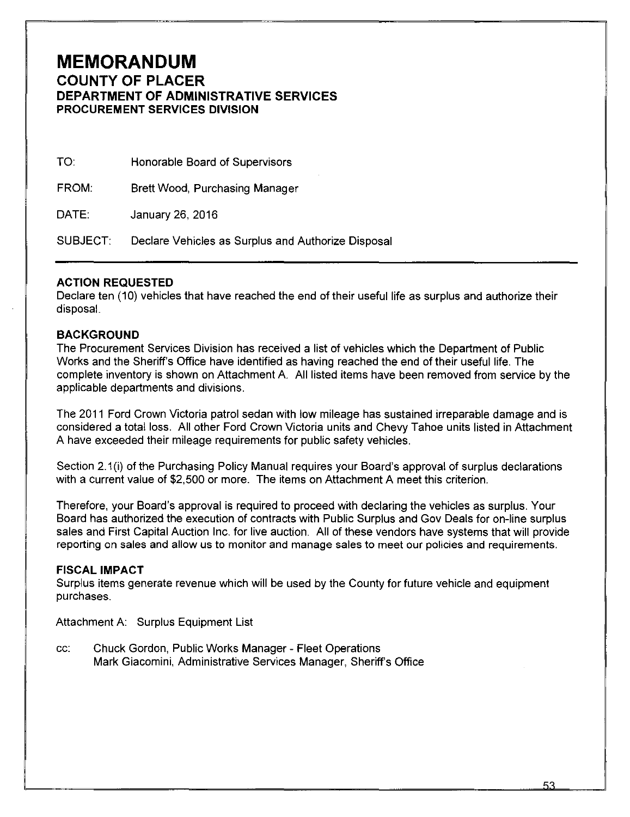# **MEMORANDUM COUNTY OF PLACER DEPARTMENT OF ADMINISTRATIVE SERVICES PROCUREMENT SERVICES DIVISION**

TO: Honorable Board of Supervisors

FROM: Brett Wood, Purchasing Manager

DATE: January 26, 2016

SUBJECT: Declare Vehicles as Surplus and Authorize Disposal

### **ACTION REQUESTED**

Declare ten (10) vehicles that have reached the end of their useful life as surplus and authorize their disposal.

#### **BACKGROUND**

The Procurement Services Division has received a list of vehicles which the Department of Public Works and the Sheriff's Office have identified as having reached the end of their useful life. The complete inventory is shown on Attachment A. All listed items have been removed from service by the applicable departments and divisions.

The 2011 Ford Crown Victoria patrol sedan with low mileage has sustained irreparable damage and is considered a total loss. All other Ford Crown Victoria units and Chevy Tahoe units listed in Attachment A have exceeded their mileage requirements for public safety vehicles.

Section 2.1(i) of the Purchasing Policy Manual requires your Board's approval of surplus declarations with a current value of \$2,500 or more. The items on Attachment A meet this criterion.

Therefore, your Board's approval is required to proceed with declaring the vehicles as surplus. Your Board has authorized the execution of contracts with Public Surplus and Gov Deals for on-line surplus sales and First Capital Auction Inc. for live auction. All of these vendors have systems that will provide reporting on sales and allow us to monitor and manage sales to meet our policies and requirements.

#### **FISCAL IMPACT**

Surplus items generate revenue which will be used by the County for future vehicle and equipment purchases.

Attachment A: Surplus Equipment List

cc: Chuck Gordon, Public Works Manager- Fleet Operations Mark Giacomini, Administrative Services Manager, Sheriff's Office